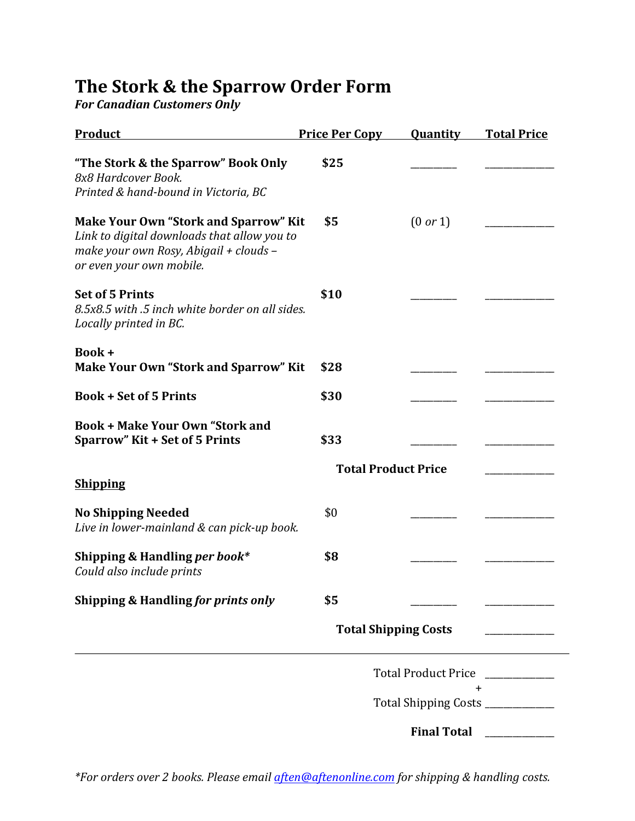## The Stork & the Sparrow Order Form

*For Canadian Customers Only* 

| Product                                                                                                                                                           | <b>Price Per Copy</b> | Quantity                         | <b>Total Price</b> |  |
|-------------------------------------------------------------------------------------------------------------------------------------------------------------------|-----------------------|----------------------------------|--------------------|--|
| "The Stork & the Sparrow" Book Only<br>8x8 Hardcover Book.<br>Printed & hand-bound in Victoria, BC                                                                | \$25                  |                                  |                    |  |
| <b>Make Your Own "Stork and Sparrow" Kit</b><br>Link to digital downloads that allow you to<br>make your own Rosy, Abigail + clouds -<br>or even your own mobile. | \$5                   | (0 or 1)                         |                    |  |
| <b>Set of 5 Prints</b><br>8.5x8.5 with .5 inch white border on all sides.<br>Locally printed in BC.                                                               | \$10                  |                                  |                    |  |
| Book +<br><b>Make Your Own "Stork and Sparrow" Kit</b>                                                                                                            | \$28                  |                                  |                    |  |
| <b>Book + Set of 5 Prints</b>                                                                                                                                     | \$30                  |                                  |                    |  |
| <b>Book + Make Your Own "Stork and</b><br><b>Sparrow" Kit + Set of 5 Prints</b>                                                                                   | \$33                  |                                  |                    |  |
| <b>Shipping</b>                                                                                                                                                   |                       | <b>Total Product Price</b>       |                    |  |
| <b>No Shipping Needed</b><br>Live in lower-mainland & can pick-up book.                                                                                           | \$0                   |                                  |                    |  |
| Shipping & Handling per book*<br>Could also include prints                                                                                                        | \$8                   |                                  |                    |  |
| Shipping & Handling for prints only                                                                                                                               | \$5                   |                                  |                    |  |
|                                                                                                                                                                   |                       | <b>Total Shipping Costs</b>      |                    |  |
|                                                                                                                                                                   |                       | <b>Total Product Price</b>       |                    |  |
|                                                                                                                                                                   |                       | Total Shipping Costs ___________ | +                  |  |
|                                                                                                                                                                   |                       | <b>Final Total</b>               |                    |  |

*\*For orders over 2 books. Please email aften@aftenonline.com for shipping & handling costs.*